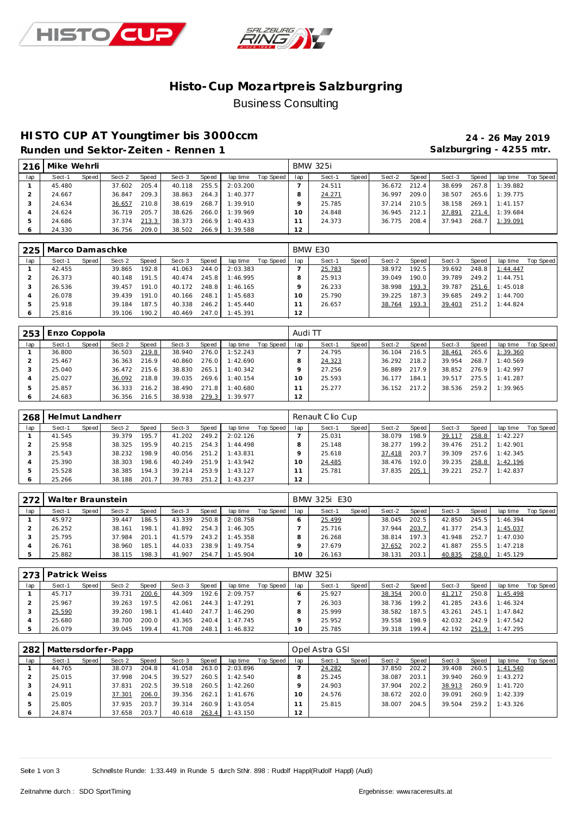



## **Histo-Cup Mozartpre is Salzburgring** Business Consulting

## **HISTO CUP AT Youngtimer bis 3000ccm 24 - 26 May 2019**

**Runden und Sektor-Zeiten - Rennen 1 Salzburgring - 4255 mtr.**

| 216 | Mike Wehrli |       |        |       |        |       |          |           |     | <b>BMW 325i</b> |       |        |         |        |       |          |           |
|-----|-------------|-------|--------|-------|--------|-------|----------|-----------|-----|-----------------|-------|--------|---------|--------|-------|----------|-----------|
| lap | Sect-1      | Speed | Sect-2 | Speed | Sect-3 | Speed | lap time | Top Speed | lap | Sect-1          | Speed | Sect-2 | Speed I | Sect-3 | Speed | lap time | Top Speed |
|     | 45.480      |       | 37.602 | 205.4 | 40.118 | 255.5 | 2:03.200 |           |     | 24.511          |       | 36.672 | 212.4   | 38.699 | 267.8 | 1:39.882 |           |
|     | 24.667      |       | 36.847 | 209.3 | 38.863 | 264.3 | 1:40.377 |           |     | 24.271          |       | 36.997 | 209.0   | 38.507 | 265.6 | 1:39.775 |           |
|     | 24.634      |       | 36.657 | 210.8 | 38.619 | 268.7 | 1:39.910 |           |     | 25.785          |       | 37.214 | 210.5   | 38.158 | 269.1 | 1:41.157 |           |
|     | 24.624      |       | 36.719 | 205.7 | 38.626 | 266.0 | 1:39.969 |           |     | 24.848          |       | 36.945 | 212.1   | 37.891 | 271.4 | 1:39.684 |           |
| -5  | 24.686      |       | 37.374 | 213.3 | 38.373 | 266.9 | 1:40.433 |           |     | 24.373          |       | 36.775 | 208.4   | 37.943 | 268.7 | 1:39.091 |           |
|     | 24.330      |       | 36.756 | 209.0 | 38.502 | 266.9 | 1:39.588 |           | 12  |                 |       |        |         |        |       |          |           |

| 225 | Marco Damaschke |       |        |        |        |       |          |           |     | BMW E30 |       |        |       |        |       |          |           |
|-----|-----------------|-------|--------|--------|--------|-------|----------|-----------|-----|---------|-------|--------|-------|--------|-------|----------|-----------|
| lap | Sect-1          | Speed | Sect-2 | Speed  | Sect-3 | Speed | lap time | Top Speed | lap | Sect-1  | Speed | Sect-2 | Speed | Sect-3 | Speed | lap time | Top Speed |
|     | 42.455          |       | 39.865 | 192.8  | 41.063 | 244.0 | 2:03.383 |           |     | 25.783  |       | 38.972 | 192.5 | 39.692 | 248.8 | 1:44.447 |           |
|     | 26.373          |       | 40.148 | 191.5  | 40.474 | 245.8 | 1:46.995 |           |     | 25.913  |       | 39.049 | 190.0 | 39.789 | 249.2 | 1:44.751 |           |
|     | 26.536          |       | 39.457 | 191.0  | 40.172 | 248.8 | 1:46.165 |           |     | 26.233  |       | 38.998 | 193.3 | 39.787 | 251.6 | 1:45.018 |           |
|     | 26.078          |       | 39.439 | 191.0  | 40.166 | 248.1 | 1:45.683 |           |     | 25.790  |       | 39.225 | 187.3 | 39.685 | 249.2 | 1:44.700 |           |
|     | 25.918          |       | 39.184 | 187.5  | 40.338 | 246.2 | 1:45.440 |           |     | 26.657  |       | 38.764 | 193.3 | 39.403 | 251.2 | 1:44.824 |           |
|     | 25.816          |       | 39.106 | 190.21 | 40.469 | 247.0 | 1:45.391 |           | 12  |         |       |        |       |        |       |          |           |

| 253 | Enzo Coppola |       |        |              |        |       |          |           | Audi TT |        |       |        |       |        |       |          |           |
|-----|--------------|-------|--------|--------------|--------|-------|----------|-----------|---------|--------|-------|--------|-------|--------|-------|----------|-----------|
| lap | Sect-1       | Speed | Sect-2 | <b>Speed</b> | Sect-3 | Speed | lap time | Top Speed | lap     | Sect-1 | Speed | Sect-2 | Speed | Sect-3 | Speed | lap time | Top Speed |
|     | 36.800       |       | 36.503 | 219.8        | 38.940 | 276.0 | 1:52.243 |           |         | 24.795 |       | 36.104 | 216.5 | 38.461 | 265.6 | 1:39.360 |           |
|     | 25.467       |       | 36.363 | 216.9        | 40.860 | 276.0 | 1:42.690 |           |         | 24.323 |       | 36.292 | 218.2 | 39.954 | 268.7 | 1:40.569 |           |
|     | 25.040       |       | 36.472 | 215.6        | 38.830 | 265.1 | 1:40.342 |           |         | 27.256 |       | 36.889 | 217.9 | 38.852 | 276.9 | 1:42.997 |           |
|     | 25.027       |       | 36.092 | 218.8        | 39.035 | 269.6 | 1:40.154 |           |         | 25.593 |       | 36.177 | 184.1 | 39.517 | 275.5 | 1:41.287 |           |
|     | 25.857       |       | 36.333 | 216.2        | 38.490 | 271.8 | 1:40.680 |           |         | 25.277 |       | 36.152 | 217.2 | 38.536 | 259.2 | 1:39.965 |           |
|     | 24.683       |       | 36.356 | 216.5        | 38.938 | 279.3 | 1:39.977 |           | 12      |        |       |        |       |        |       |          |           |

| 268        | Helmut Landherr |       |        |       |        |       |          |           |          | Renault Clio Cup |       |        |       |        |       |          |           |
|------------|-----------------|-------|--------|-------|--------|-------|----------|-----------|----------|------------------|-------|--------|-------|--------|-------|----------|-----------|
| lap        | Sect-1          | Speed | Sect-2 | Speed | Sect-3 | Speed | lap time | Top Speed | lap      | Sect-1           | Speed | Sect-2 | Speed | Sect-3 | Speed | lap time | Top Speed |
|            | 41.545          |       | 39.379 | 195.7 | 41.202 | 249.2 | 2:02.126 |           |          | 25.031           |       | 38.079 | 198.9 | 39.117 | 258.8 | 1:42.227 |           |
|            | 25.958          |       | 38.325 | 195.9 | 40.215 | 254.3 | 1:44.498 |           |          | 25.148           |       | 38.277 | 199.2 | 39.476 | 251.2 | 1:42.901 |           |
|            | 25.543          |       | 38.232 | 198.9 | 40.056 | 251.2 | 1:43.831 |           |          | 25.618           |       | 37.418 | 203.7 | 39.309 | 257.6 | 1:42.345 |           |
|            | 25.390          |       | 38.303 | 198.6 | 40.249 | 251.9 | 1:43.942 |           | $\Omega$ | 24.485           |       | 38.476 | 192.0 | 39.235 | 258.8 | 1:42.196 |           |
| 5          | 25.528          |       | 38.385 | 194.3 | 39.214 | 253.9 | 1:43.127 |           |          | 25.781           |       | 37.835 | 205.1 | 39.221 | 252.7 | 1:42.837 |           |
| $\epsilon$ | 25.266          |       | 38.188 | 201.7 | 39.783 | 251.2 | 1:43.237 |           | 12       |                  |       |        |       |        |       |          |           |

| 272 | Walter Braunstein |       |        |       |        |       |          |           |     | BMW 325i E30 |       |        |       |        |       |          |           |
|-----|-------------------|-------|--------|-------|--------|-------|----------|-----------|-----|--------------|-------|--------|-------|--------|-------|----------|-----------|
| lap | Sect-1            | Speed | Sect-2 | Speed | Sect-3 | Speed | lap time | Top Speed | lap | Sect-1       | Speed | Sect-2 | Speed | Sect-3 | Speed | lap time | Top Speed |
|     | 45.972            |       | 39.447 | 186.5 | 43.339 | 250.8 | 2:08.758 |           |     | 25.499       |       | 38.045 | 202.5 | 42.850 | 245.5 | 1:46.394 |           |
|     | 26.252            |       | 38.161 | 198.1 | 41.892 | 254.3 | 1:46.305 |           |     | 25.716       |       | 37.944 | 203.7 | 41.377 | 254.3 | 1:45.037 |           |
|     | 25.795            |       | 37.984 | 201.1 | 41.579 | 243.2 | 1:45.358 |           |     | 26.268       |       | 38.814 | 197.3 | 41.948 | 252.7 | 1:47.030 |           |
|     | 26.761            |       | 38.960 | 185.1 | 44.033 | 238.9 | 1:49.754 |           |     | 27.679       |       | 37.652 | 202.2 | 41.887 | 255.5 | 1:47.218 |           |
|     | 25.882            |       | 38.115 | 198.3 | 41.907 | 254.7 | 1:45.904 |           |     | 26.163       |       | 38.131 | 203.1 | 40.835 | 258.0 | 1:45.129 |           |

|     | 273   Patrick Weiss |       |        |              |        |       |          |           |     | <b>BMW 325i</b> |       |        |       |        |       |          |           |
|-----|---------------------|-------|--------|--------------|--------|-------|----------|-----------|-----|-----------------|-------|--------|-------|--------|-------|----------|-----------|
| lap | Sect-1              | Speed | Sect-2 | <b>Speed</b> | Sect-3 | Speed | lap time | Top Speed | lap | Sect-1          | Speed | Sect-2 | Speed | Sect-3 | Speed | lap time | Top Speed |
|     | 45.717              |       | 39.731 | 200.6        | 44.309 | 192.6 | 2:09.757 |           |     | 25.927          |       | 38.354 | 200.0 | 41.217 | 250.8 | 1:45.498 |           |
|     | 25.967              |       | 39.263 | 197.5        | 42.061 | 244.3 | 1:47.291 |           |     | 26.303          |       | 38.736 | 199.2 | 41.285 | 243.6 | 1:46.324 |           |
|     | 25.590              |       | 39.260 | 198.1        | 41.440 | 247.7 | 1:46.290 |           |     | 25.999          |       | 38.582 | 187.5 | 43.261 | 245.1 | 1:47.842 |           |
|     | 25.680              |       | 38.700 | 200.0        | 43.365 | 240.4 | 1:47.745 |           |     | 25.952          |       | 39.558 | 198.9 | 42.032 | 242.9 | 1:47.542 |           |
|     | 26.079              |       | 39.045 | 199.4        | 41.708 | 248.1 | 1:46.832 |           |     | 25.785          |       | 39.318 | 199.4 | 42.192 | 251.9 | 1:47.295 |           |

|         | 282   Mattersdorfer-Papp |       |        |       |        |       |          |           |     | Opel Astra GSI |       |        |       |        |       |          |           |
|---------|--------------------------|-------|--------|-------|--------|-------|----------|-----------|-----|----------------|-------|--------|-------|--------|-------|----------|-----------|
| lap     | Sect-1                   | Speed | Sect-2 | Speed | Sect-3 | Speed | lap time | Top Speed | lap | Sect-1         | Speed | Sect-2 | Speed | Sect-3 | Speed | lap time | Top Speed |
|         | 44.765                   |       | 38.073 | 204.8 | 41.058 | 263.0 | 2:03.896 |           |     | 24.282         |       | 37.850 | 202.2 | 39.408 | 260.5 | 1:41.540 |           |
|         | 25.015                   |       | 37.998 | 204.5 | 39.527 | 260.5 | 1:42.540 |           |     | 25.245         |       | 38.087 | 203.1 | 39.940 | 260.9 | 1:43.272 |           |
|         | 24.911                   |       | 37.831 | 202.5 | 39.518 | 260.5 | 1:42.260 |           |     | 24.903         |       | 37.904 | 202.2 | 38.913 | 260.9 | 1:41.720 |           |
|         | 25.019                   |       | 37.301 | 206.0 | 39.356 | 262.1 | 1:41.676 |           | 1 O | 24.576         |       | 38.672 | 202.0 | 39.091 | 260.9 | 1:42.339 |           |
|         | 25.805                   |       | 37.935 | 203.7 | 39.314 | 260.9 | 1:43.054 |           |     | 25.815         |       | 38.007 | 204.5 | 39.504 | 259.2 | 1:43.326 |           |
| $\circ$ | 24.874                   |       | 37.658 | 203.7 | 40.618 | 263.4 | 1:43.150 |           | 12  |                |       |        |       |        |       |          |           |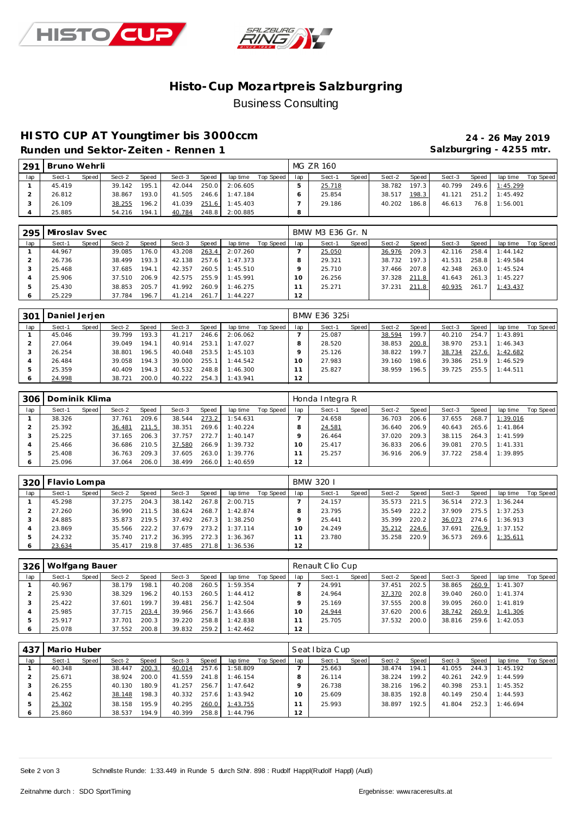



## **Histo-Cup Mozartpre is Salzburgring** Business Consulting

## **HISTO CUP AT Youngtimer bis 3000ccm 24 - 26 May 2019**

**Runden und Sektor-Zeiten - Rennen 1 Salzburgring - 4255 mtr.**

| 291 | Bruno Wehrli |       |        |                    |        |              |                |           |         | MG ZR 160 |       |        |       |        |       |                |           |
|-----|--------------|-------|--------|--------------------|--------|--------------|----------------|-----------|---------|-----------|-------|--------|-------|--------|-------|----------------|-----------|
| lap | Sect-1       | Speed | Sect-2 | <b>Speed</b>       | Sect-3 | <b>Speed</b> | lap time       | Top Speed | lap     | Sect-1    | Speed | Sect-2 | Speed | Sect-3 | Speed | lap time       | Top Speed |
|     | 45.419       |       | 39.142 | 195.1              | 42.044 | 250.0        | 2:06.605       |           |         | 25.718    |       | 38.782 | 197.3 | 40.799 |       | 249.6 1:45.299 |           |
|     | 26.812       |       | 38.867 | 193.0              | 41.505 | 246.6        | 1:47.184       |           |         | 25.854    |       | 38.517 | 198.3 | 41.121 |       | 251.2 1:45.492 |           |
|     | 26.109       |       | 38.255 | 196.2 <sub>1</sub> | 41.039 |              | 251.6 1:45.403 |           |         | 29.186    |       | 40.202 | 186.8 | 46.613 | 76.8  | 1:56.001       |           |
|     | 25.885       |       | 54.216 | 194.1              | 40.784 | 248.8        | 2:00.885       |           | $\circ$ |           |       |        |       |        |       |                |           |

|     | 295   Miroslav Svec |       |        |       |        |       |          |           |     | BMW M3 E36 Gr. N |       |        |       |        |       |          |           |
|-----|---------------------|-------|--------|-------|--------|-------|----------|-----------|-----|------------------|-------|--------|-------|--------|-------|----------|-----------|
| lap | Sect-1              | Speed | Sect-2 | Speed | Sect-3 | Speed | lap time | Top Speed | lap | Sect-1           | Speed | Sect-2 | Speed | Sect-3 | Speed | lap time | Top Speed |
|     | 44.967              |       | 39.085 | 176.0 | 43.208 | 263.4 | 2:07.260 |           |     | 25.050           |       | 36.976 | 209.3 | 42.116 | 258.4 | 1:44.142 |           |
|     | 26.736              |       | 38.499 | 193.3 | 42.138 | 257.6 | 1:47.373 |           | 8   | 29.321           |       | 38.732 | 197.3 | 41.531 | 258.8 | 1:49.584 |           |
|     | 25.468              |       | 37.685 | 194.1 | 42.357 | 260.5 | 1:45.510 |           | Q   | 25.710           |       | 37.466 | 207.8 | 42.348 | 263.0 | 1:45.524 |           |
|     | 25.906              |       | 37.510 | 206.9 | 42.575 | 255.9 | 1:45.991 |           | 10  | 26.256           |       | 37.328 | 211.8 | 41.643 | 261.3 | 1:45.227 |           |
| .5  | 25.430              |       | 38.853 | 205.7 | 41.992 | 260.9 | 1:46.275 |           |     | 25.271           |       | 37.231 | 211.8 | 40.935 | 261.7 | 1:43.437 |           |
| 6   | 25.229              |       | 37.784 | 196.7 | 41.214 | 261.7 | 1:44.227 |           | 2   |                  |       |        |       |        |       |          |           |

| 301 | Daniel Jerjen |       |        |                    |        |       |          |           |     | BMW E36 325i |       |        |       |        |       |          |           |
|-----|---------------|-------|--------|--------------------|--------|-------|----------|-----------|-----|--------------|-------|--------|-------|--------|-------|----------|-----------|
| lap | Sect-1        | Speed | Sect-2 | Speed              | Sect-3 | Speed | lap time | Top Speed | lap | Sect-1       | Speed | Sect-2 | Speed | Sect-3 | Speed | lap time | Top Speed |
|     | 45.046        |       | 39.799 | 193.3 <sub>1</sub> | 41.217 | 246.6 | 2:06.062 |           |     | 25.087       |       | 38.594 | 199.7 | 40.210 | 254.7 | 1:43.891 |           |
|     | 27.064        |       | 39.049 | 194.1              | 40.914 | 253.1 | 1:47.027 |           |     | 28.520       |       | 38.853 | 200.8 | 38.970 | 253.1 | 1:46.343 |           |
|     | 26.254        |       | 38.801 | 196.5              | 40.048 | 253.5 | 1:45.103 |           |     | 25.126       |       | 38.822 | 199.7 | 38.734 | 257.6 | 1:42.682 |           |
|     | 26.484        |       | 39.058 | 194.3              | 39.000 | 255.1 | 1:44.542 |           |     | 27.983       |       | 39.160 | 198.6 | 39.386 | 251.9 | 1:46.529 |           |
| Þ   | 25.359        |       | 40.409 | 194.3              | 40.532 | 248.8 | 1:46.300 |           |     | 25.827       |       | 38.959 | 196.5 | 39.725 | 255.5 | 1:44.511 |           |
| O   | 24.998        |       | 38.721 | 200.0              | 40.222 | 254.3 | 1:43.941 |           | 12  |              |       |        |       |        |       |          |           |

| 306 | Dominik Klima |       |        |       |        |       |          |           |          | Honda Integra R |       |        |       |        |       |          |           |
|-----|---------------|-------|--------|-------|--------|-------|----------|-----------|----------|-----------------|-------|--------|-------|--------|-------|----------|-----------|
| lap | Sect-1        | Speed | Sect-2 | Speed | Sect-3 | Speed | lap time | Top Speed | lap      | Sect-1          | Speed | Sect-2 | Speed | Sect-3 | Speed | lap time | Top Speed |
|     | 38.326        |       | 37.761 | 209.6 | 38.544 | 273.2 | 1:54.631 |           |          | 24.658          |       | 36.703 | 206.6 | 37.655 | 268.7 | 1:39.016 |           |
|     | 25.392        |       | 36.481 | 211.5 | 38.351 | 269.6 | 1:40.224 |           |          | 24.581          |       | 36.640 | 206.9 | 40.643 | 265.6 | 1:41.864 |           |
|     | 25.225        |       | 37.165 | 206.3 | 37.757 | 272.7 | 1:40.147 |           |          | 26.464          |       | 37.020 | 209.3 | 38.115 | 264.3 | 1:41.599 |           |
|     | 25.466        |       | 36.686 | 210.5 | 37.580 | 266.9 | 1:39.732 |           | $\Omega$ | 25.417          |       | 36.833 | 206.6 | 39.081 | 270.5 | 1:41.331 |           |
|     | 25.408        |       | 36.763 | 209.3 | 37.605 | 263.0 | 1:39.776 |           |          | 25.257          |       | 36.916 | 206.9 | 37.722 | 258.4 | 1:39.895 |           |
| O   | 25.096        |       | 37.064 | 206.0 | 38.499 | 266.0 | 1:40.659 |           | 12       |                 |       |        |       |        |       |          |           |

|     | 320   Flavio Lompa |       |        |       |        |       |                |           |     | BMW 320 I |       |        |       |        |       |          |           |
|-----|--------------------|-------|--------|-------|--------|-------|----------------|-----------|-----|-----------|-------|--------|-------|--------|-------|----------|-----------|
| lap | Sect-1             | Speed | Sect-2 | Speed | Sect-3 | Speed | lap time       | Top Speed | lap | Sect-1    | Speed | Sect-2 | Speed | Sect-3 | Speed | lap time | Top Speed |
|     | 45.298             |       | 37.275 | 204.3 | 38.142 | 267.8 | 2:00.715       |           |     | 24.157    |       | 35.573 | 221.5 | 36.514 | 272.3 | 1:36.244 |           |
|     | 27.260             |       | 36.990 | 211.5 | 38.624 | 268.7 | 1:42.874       |           |     | 23.795    |       | 35.549 | 222.2 | 37.909 | 275.5 | 1:37.253 |           |
|     | 24.885             |       | 35.873 | 219.5 | 37.492 | 267.3 | 1:38.250       |           |     | 25.441    |       | 35.399 | 220.2 | 36.073 | 274.6 | 1:36.913 |           |
|     | 23.869             |       | 35.566 | 222.2 | 37.679 | 273.2 | 1:37.114       |           |     | 24.249    |       | 35.212 | 224.6 | 37.691 | 276.9 | 1:37.152 |           |
|     | 24.232             |       | 35.740 | 217.2 | 36.395 | 272.3 | 1:36.367       |           |     | 23.780    |       | 35.258 | 220.9 | 36.573 | 269.6 | 1:35.611 |           |
|     | 23.634             |       | 35.417 | 219.8 | 37.485 |       | 271.8 1:36.536 |           | 12  |           |       |        |       |        |       |          |           |

| 326     | Wolfgang Bauer |       |        |       |        |       |          |           |         | Renault Clio Cup |       |        |       |        |       |          |           |  |  |
|---------|----------------|-------|--------|-------|--------|-------|----------|-----------|---------|------------------|-------|--------|-------|--------|-------|----------|-----------|--|--|
| lap     | Sect-1         | Speed | Sect-2 | Speed | Sect-3 | Speed | lap time | Top Speed | lap     | Sect-1           | Speed | Sect-2 | Speed | Sect-3 | Speed | lap time | Top Speed |  |  |
|         | 40.967         |       | 38.179 | 198.1 | 40.208 | 260.5 | 1:59.354 |           |         | 24.991           |       | 37.451 | 202.5 | 38.865 | 260.9 | 1:41.307 |           |  |  |
|         | 25.930         |       | 38.329 | 196.2 | 40.153 | 260.5 | 1:44.412 |           |         | 24.964           |       | 37.370 | 202.8 | 39.040 | 260.0 | 1:41.374 |           |  |  |
|         | 25.422         |       | 37.601 | 199.7 | 39.481 | 256.7 | 1:42.504 |           |         | 25.169           |       | 37.555 | 200.8 | 39.095 | 260.0 | 1:41.819 |           |  |  |
|         | 25.985         |       | 37.715 | 203.4 | 39.966 | 256.7 | 1:43.666 |           | $\circ$ | 24.944           |       | 37.620 | 200.6 | 38.742 | 260.9 | 1:41.306 |           |  |  |
| 5       | 25.917         |       | 37.701 | 200.3 | 39.220 | 258.8 | 1:42.838 |           |         | 25.705           |       | 37.532 | 200.0 | 38.816 | 259.6 | 1:42.053 |           |  |  |
| $\circ$ | 25.078         |       | 37.552 | 200.8 | 39.832 | 259.2 | 1:42.462 |           | 12      |                  |       |        |       |        |       |          |           |  |  |

| 437     | Mario Huber |       |        |                    |        |       |          |           | Seat Ibiza Cup |        |       |        |       |        |       |          |           |  |
|---------|-------------|-------|--------|--------------------|--------|-------|----------|-----------|----------------|--------|-------|--------|-------|--------|-------|----------|-----------|--|
| lap     | Sect-1      | Speed | Sect-2 | Speed              | Sect-3 | Speed | lap time | Top Speed | lap            | Sect-1 | Speed | Sect-2 | Speed | Sect-3 | Speed | lap time | Top Speed |  |
|         | 40.348      |       | 38.447 | 200.3              | 40.014 | 257.6 | 1:58.809 |           |                | 25.663 |       | 38.474 | 194.1 | 41.055 | 244.3 | 1:45.192 |           |  |
|         | 25.671      |       | 38.924 | 200.0              | 41.559 | 241.8 | 1:46.154 |           |                | 26.114 |       | 38.224 | 199.2 | 40.261 | 242.9 | 1:44.599 |           |  |
|         | 26.255      |       | 40.130 | 180.9              | 41.257 | 256.7 | 1:47.642 |           |                | 26.738 |       | 38.216 | 196.2 | 40.398 | 253.1 | 1:45.352 |           |  |
|         | 25.462      |       | 38.148 | 198.3 <sub>1</sub> | 40.332 | 257.6 | 1:43.942 |           | $\Omega$       | 25.609 |       | 38.835 | 192.8 | 40.149 | 250.4 | 1:44.593 |           |  |
| 5       | 25.302      |       | 38.158 | 195.9              | 40.295 | 260.0 | 1:43.755 |           |                | 25.993 |       | 38.897 | 192.5 | 41.804 | 252.3 | 1:46.694 |           |  |
| $\circ$ | 25.860      |       | 38.537 | 194.9              | 40.399 | 258.8 | 1:44.796 |           | 12             |        |       |        |       |        |       |          |           |  |